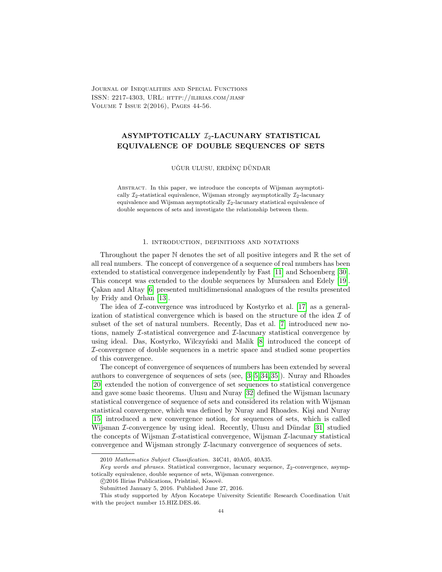Journal of Inequalities and Special Functions ISSN: 2217-4303, URL: http://ilirias.com/jiasf Volume 7 Issue 2(2016), Pages 44-56.

# ASYMPTOTICALLY  $\mathcal{I}_2$ -LACUNARY STATISTICAL EQUIVALENCE OF DOUBLE SEQUENCES OF SETS

UĞUR ULUSU, ERDİNÇ DÜNDAR

Abstract. In this paper, we introduce the concepts of Wijsman asymptotically  $\mathcal{I}_2$ -statistical equivalence, Wijsman strongly asymptotically  $\mathcal{I}_2$ -lacunary equivalence and Wijsman asymptotically  $\mathcal{I}_2$ -lacunary statistical equivalence of double sequences of sets and investigate the relationship between them.

## 1. introduction, definitions and notations

Throughout the paper  $\mathbb N$  denotes the set of all positive integers and  $\mathbb R$  the set of all real numbers. The concept of convergence of a sequence of real numbers has been extended to statistical convergence independently by Fast [\[11\]](#page-11-0) and Schoenberg [\[30\]](#page-11-1). This concept was extended to the double sequences by Mursaleen and Edely [\[19\]](#page-11-2). Cakan and Altay [\[6\]](#page-11-3) presented multidimensional analogues of the results presented by Fridy and Orhan [\[13\]](#page-11-4).

The idea of  $\mathcal I$ -convergence was introduced by Kostyrko et al. [\[17\]](#page-11-5) as a generalization of statistical convergence which is based on the structure of the idea  $\mathcal I$  of subset of the set of natural numbers. Recently, Das et al. [\[7\]](#page-11-6) introduced new notions, namely I-statistical convergence and I-lacunary statistical convergence by using ideal. Das, Kostyrko, Wilczyński and Malik [\[8\]](#page-11-7) introduced the concept of I-convergence of double sequences in a metric space and studied some properties of this convergence.

The concept of convergence of sequences of numbers has been extended by several authors to convergence of sequences of sets (see, [\[3](#page-11-8)[–5,](#page-11-9) [34,](#page-12-0) [35\]](#page-12-1)). Nuray and Rhoades [\[20\]](#page-11-10) extended the notion of convergence of set sequences to statistical convergence and gave some basic theorems. Ulusu and Nuray [\[32\]](#page-12-2) defined the Wijsman lacunary statistical convergence of sequence of sets and considered its relation with Wijsman statistical convergence, which was defined by Nuray and Rhoades. Kişi and Nuray [\[15\]](#page-11-11) introduced a new convergence notion, for sequences of sets, which is called Wijsman  $\mathcal I$ -convergence by using ideal. Recently, Ulusu and Dündar [\[31\]](#page-12-3) studied the concepts of Wijsman  $\mathcal I$ -statistical convergence, Wijsman  $\mathcal I$ -lacunary statistical convergence and Wijsman strongly I-lacunary convergence of sequences of sets.

<sup>2010</sup> Mathematics Subject Classification. 34C41, 40A05, 40A35.

Key words and phrases. Statistical convergence, lacunary sequence,  $\mathcal{I}_2$ -convergence, asymptotically equivalence, double sequence of sets, Wijsman convergence.

<sup>© 2016</sup> Ilirias Publications, Prishtinë, Kosovë.

Submitted January 5, 2016. Published June 27, 2016.

This study supported by Afyon Kocatepe University Scientific Research Coordination Unit with the project number 15.HIZ.DES.46.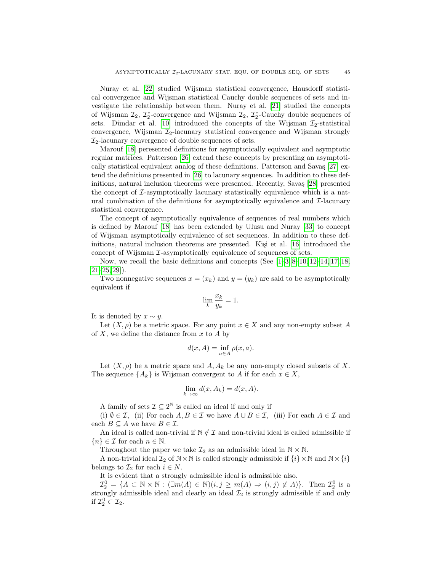Nuray et al. [\[22\]](#page-11-12) studied Wijsman statistical convergence, Hausdorff statistical convergence and Wijsman statistical Cauchy double sequences of sets and investigate the relationship between them. Nuray et al. [\[21\]](#page-11-13) studied the concepts of Wijsman  $\mathcal{I}_2$ ,  $\mathcal{I}_2^*$ -convergence and Wijsman  $\mathcal{I}_2$ ,  $\mathcal{I}_2^*$ -Cauchy double sequences of sets. Dündar et al. [\[10\]](#page-11-14) introduced the concepts of the Wijsman  $\mathcal{I}_2$ -statistical convergence, Wijsman  $\mathcal{I}_2$ -lacunary statistical convergence and Wijsman strongly  $\mathcal{I}_2$ -lacunary convergence of double sequences of sets.

Marouf [\[18\]](#page-11-15) peresented definitions for asymptotically equivalent and asymptotic regular matrices. Patterson [\[26\]](#page-11-16) extend these concepts by presenting an asymptotically statistical equivalent analog of these definitions. Patterson and Savas  $[27]$  extend the definitions presented in [\[26\]](#page-11-16) to lacunary sequences. In addition to these def-initions, natural inclusion theorems were presented. Recently, Savas [\[28\]](#page-11-18) presented the concept of  $\mathcal{I}$ -asymptotically lacunary statistically equivalence which is a natural combination of the definitions for asymptotically equivalence and  $\mathcal{I}\text{-}$  lacunary statistical convergence.

The concept of asymptotically equivalence of sequences of real numbers which is defined by Marouf [\[18\]](#page-11-15) has been extended by Ulusu and Nuray [\[33\]](#page-12-4) to concept of Wijsman asymptotically equivalence of set sequences. In addition to these definitions, natural inclusion theorems are presented. Kisi et al.  $[16]$  introduced the concept of Wijsman *L*-asymptotically equivalence of sequences of sets.

Now, we recall the basic definitions and concepts (See [\[1–](#page-11-20)[3,](#page-11-8) [8–](#page-11-7)[10,](#page-11-14) [12–](#page-11-21)[14,](#page-11-22) [17,](#page-11-5) [18,](#page-11-15)  $21-25, 29$  $21-25, 29$  $21-25, 29$ ]).

Two nonnegative sequences  $x = (x_k)$  and  $y = (y_k)$  are said to be asymptotically equivalent if

$$
\lim_{k} \frac{x_k}{y_k} = 1.
$$

It is denoted by  $x \sim y$ .

Let  $(X, \rho)$  be a metric space. For any point  $x \in X$  and any non-empty subset A of  $X$ , we define the distance from  $x$  to  $A$  by

$$
d(x, A) = \inf_{a \in A} \rho(x, a).
$$

Let  $(X, \rho)$  be a metric space and  $A, A_k$  be any non-empty closed subsets of X. The sequence  $\{A_k\}$  is Wijsman convergent to A if for each  $x \in X$ ,

$$
\lim_{k \to \infty} d(x, A_k) = d(x, A).
$$

A family of sets  $\mathcal{I} \subseteq 2^{\mathbb{N}}$  is called an ideal if and only if

(i)  $\emptyset \in \mathcal{I}$ , (ii) For each  $A, B \in \mathcal{I}$  we have  $A \cup B \in \mathcal{I}$ , (iii) For each  $A \in \mathcal{I}$  and each  $B \subseteq A$  we have  $B \in \mathcal{I}$ .

An ideal is called non-trivial if  $\mathbb{N} \notin \mathcal{I}$  and non-trivial ideal is called admissible if  ${n \in \mathcal{I} \text{ for each } n \in \mathbb{N}.}$ 

Throughout the paper we take  $\mathcal{I}_2$  as an admissible ideal in  $\mathbb{N} \times \mathbb{N}$ .

A non-trivial ideal  $\mathcal{I}_2$  of  $\mathbb{N} \times \mathbb{N}$  is called strongly admissible if  $\{i\} \times \mathbb{N}$  and  $\mathbb{N} \times \{i\}$ belongs to  $\mathcal{I}_2$  for each  $i \in N$ .

It is evident that a strongly admissible ideal is admissible also.

 $\mathcal{I}_2^0 = \{A \subset \mathbb{N} \times \mathbb{N} : (\exists m(A) \in \mathbb{N})(i, j \ge m(A) \Rightarrow (i, j) \notin A)\}.$  Then  $\mathcal{I}_2^0$  is a strongly admissible ideal and clearly an ideal  $\mathcal{I}_2$  is strongly admissible if and only if  $\mathcal{I}_2^0 \subset \mathcal{I}_2$ .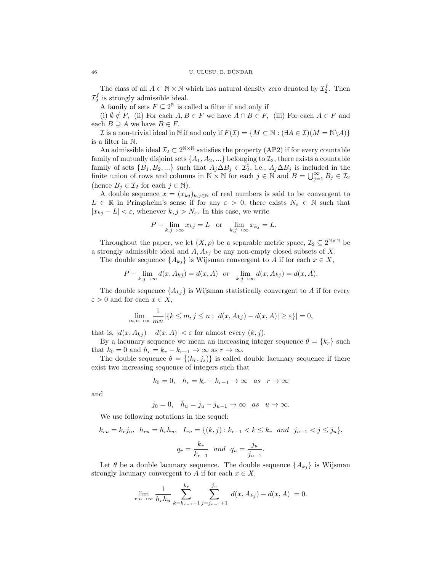The class of all  $A \subset \mathbb{N} \times \mathbb{N}$  which has natural density zero denoted by  $\mathcal{I}_2^f$ . Then  $\mathcal{I}_2^f$  is strongly admissible ideal.

A family of sets  $F \subseteq 2^{\mathbb{N}}$  is called a filter if and only if

(i)  $\emptyset \notin F$ , (ii) For each  $A, B \in F$  we have  $A \cap B \in F$ , (iii) For each  $A \in F$  and each  $B \supseteq A$  we have  $B \in F$ .

I is a non-trivial ideal in N if and only if  $F(\mathcal{I}) = \{M \subset \mathbb{N} : (\exists A \in \mathcal{I})(M = \mathbb{N} \setminus A)\}\$ is a filter in N.

An admissible ideal  $\mathcal{I}_2 \subset 2^{\mathbb{N} \times \mathbb{N}}$  satisfies the property (AP2) if for every countable family of mutually disjoint sets  $\{A_1, A_2, ...\}$  belonging to  $\mathcal{I}_2$ , there exists a countable family of sets  ${B_1, B_2,...}$  such that  $A_j \Delta B_j \in \mathcal{I}_2^0$ , i.e.,  $A_j \Delta B_j$  is included in the finite union of rows and columns in  $\mathbb{N} \times \mathbb{N}$  for each  $j \in \mathbb{N}$  and  $B = \bigcup_{j=1}^{\infty} B_j \in \mathcal{I}_2$ (hence  $B_j \in \mathcal{I}_2$  for each  $j \in \mathbb{N}$ ).

A double sequence  $x = (x_{kj})_{k,j \in \mathbb{N}}$  of real numbers is said to be convergent to  $L \in \mathbb{R}$  in Pringsheim's sense if for any  $\varepsilon > 0$ , there exists  $N_{\varepsilon} \in \mathbb{N}$  such that  $|x_{kj} - L| < \varepsilon$ , whenever  $k, j > N_{\varepsilon}$ . In this case, we write

$$
P - \lim_{k,j \to \infty} x_{kj} = L \quad \text{or} \quad \lim_{k,j \to \infty} x_{kj} = L.
$$

Throughout the paper, we let  $(X, \rho)$  be a separable metric space,  $\mathcal{I}_2 \subseteq 2^{N \times N}$  be a strongly admissible ideal and  $A, A_{kj}$  be any non-empty closed subsets of X.

The double sequence  $\{A_{kj}\}\$ is Wijsman convergent to A if for each  $x \in X$ ,

$$
P - \lim_{k,j \to \infty} d(x, A_{kj}) = d(x, A) \quad \text{or} \quad \lim_{k,j \to \infty} d(x, A_{kj}) = d(x, A).
$$

The double sequence  $\{A_{ki}\}\$ is Wijsman statistically convergent to A if for every  $\varepsilon > 0$  and for each  $x \in X$ ,

$$
\lim_{m,n\to\infty}\frac{1}{mn}|\{k\leq m,j\leq n:|d(x,A_{kj})-d(x,A)|\geq \varepsilon\}|=0,
$$

that is,  $|d(x, A_{ki}) - d(x, A)| < \varepsilon$  for almost every  $(k, j)$ .

By a lacunary sequence we mean an increasing integer sequence  $\theta = \{k_r\}$  such that  $k_0 = 0$  and  $h_r = k_r - k_{r-1} \rightarrow \infty$  as  $r \rightarrow \infty$ .

The double sequence  $\theta = \{(k_r, j_s)\}\$ is called double lacunary sequence if there exist two increasing sequence of integers such that

$$
k_0 = 0, \quad h_r = k_r - k_{r-1} \to \infty \quad as \quad r \to \infty
$$

and

$$
j_0 = 0, \quad \bar{h}_u = j_u - j_{u-1} \to \infty \quad as \quad u \to \infty.
$$

We use following notations in the sequel:

$$
k_{ru} = k_r j_u, \ \ h_{ru} = h_r \bar{h}_u, \ \ I_{ru} = \{(k, j) : k_{r-1} < k \le k_r \ \ and \ \ j_{u-1} < j \le j_u\},\
$$
\n
$$
q_r = \frac{k_r}{k_{r-1}} \ \ and \ \ q_u = \frac{j_u}{j_{u-1}}.
$$

Let  $\theta$  be a double lacunary sequence. The double sequence  $\{A_{ki}\}\$ is Wijsman strongly lacunary convergent to A if for each  $x \in X$ ,

$$
\lim_{r,u \to \infty} \frac{1}{h_r \bar{h}_u} \sum_{k=k_{r-1}+1}^{k_r} \sum_{j=j_{u-1}+1}^{j_u} |d(x, A_{kj}) - d(x, A)| = 0.
$$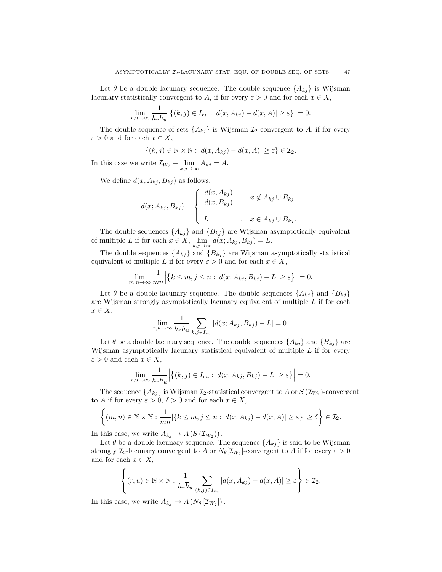Let  $\theta$  be a double lacunary sequence. The double sequence  $\{A_{ki}\}\$ is Wijsman lacunary statistically convergent to A, if for every  $\varepsilon > 0$  and for each  $x \in X$ ,

$$
\lim_{r,u\to\infty}\frac{1}{h_r\bar{h}_u}|\{(k,j)\in I_{ru}:|d(x,A_{kj})-d(x,A)|\geq\varepsilon\}|=0.
$$

The double sequence of sets  $\{A_{kj}\}$  is Wijsman  $\mathcal{I}_2$ -convergent to A, if for every  $\varepsilon > 0$  and for each  $x \in X$ ,

$$
\{(k,j)\in\mathbb{N}\times\mathbb{N}:|d(x,A_{kj})-d(x,A)|\geq\varepsilon\}\in\mathcal{I}_2.
$$

In this case we write  $\mathcal{I}_{W_2} - \lim_{k,j \to \infty} A_{kj} = A$ .

We define  $d(x; A_{ki}, B_{ki})$  as follows:

$$
d(x; A_{kj}, B_{kj}) = \begin{cases} \frac{d(x, A_{kj})}{d(x, B_{kj})} & , x \notin A_{kj} \cup B_{kj} \\ L & , x \in A_{kj} \cup B_{kj}. \end{cases}
$$

The double sequences  $\{A_{kj}\}\$  and  $\{B_{kj}\}\$ are Wijsman asymptotically equivalent of multiple L if for each  $x \in X$ ,  $\lim_{k,j \to \infty} d(x; A_{kj}, B_{kj}) = L$ .

The double sequences  $\{A_{kj}\}\$ and  $\{B_{kj}\}\$ are Wijsman asymptotically statistical equivalent of multiple L if for every  $\varepsilon > 0$  and for each  $x \in X$ ,

$$
\lim_{m,n \to \infty} \frac{1}{mn} \Big| \{ k \le m, j \le n : |d(x; A_{kj}, B_{kj}) - L| \ge \varepsilon \} \Big| = 0.
$$

Let  $\theta$  be a double lacunary sequence. The double sequences  $\{A_{kj}\}\$  and  $\{B_{kj}\}\$ are Wijsman strongly asymptotically lacunary equivalent of multiple L if for each  $x \in X$ ,

$$
\lim_{r,u\to\infty}\frac{1}{h_r\overline{h}_u}\sum_{k,j\in I_{ru}}|d(x;A_{kj},B_{kj})-L|=0.
$$

Let  $\theta$  be a double lacunary sequence. The double sequences  $\{A_{ki}\}\$  and  $\{B_{ki}\}\$  are Wijsman asymptotically lacunary statistical equivalent of multiple  $L$  if for every  $\varepsilon > 0$  and each  $x \in X$ ,

$$
\lim_{r,u\to\infty}\frac{1}{h_r\overline{h}_u}\Big|\{(k,j)\in I_{ru}:|d(x;A_{kj},B_{kj})-L|\geq\varepsilon\}\Big|=0.
$$

The sequence  $\{A_{kj}\}$  is Wijsman  $\mathcal{I}_2$ -statistical convergent to A or  $S(\mathcal{I}_{W_2})$ -convergent to A if for every  $\varepsilon > 0$ ,  $\delta > 0$  and for each  $x \in X$ ,

$$
\left\{(m,n)\in\mathbb{N}\times\mathbb{N}:\frac{1}{mn}|\{k\leq m,j\leq n:|d(x,A_{kj})-d(x,A)|\geq \varepsilon\}|\geq \delta\right\}\in\mathcal{I}_2.
$$

In this case, we write  $A_{kj} \to A(S(\mathcal{I}_{W_2}))$ .

Let  $\theta$  be a double lacunary sequence. The sequence  $\{A_{kj}\}\$ is said to be Wijsman strongly  $\mathcal{I}_2$ -lacunary convergent to A or  $N_\theta[\mathcal{I}_{W_2}]$ -convergent to A if for every  $\varepsilon > 0$ and for each  $x \in X$ ,

$$
\left\{(r, u) \in \mathbb{N} \times \mathbb{N} : \frac{1}{h_r \overline{h}_u} \sum_{(k,j) \in I_{ru}} |d(x, A_{kj}) - d(x, A)| \ge \varepsilon \right\} \in \mathcal{I}_2.
$$

In this case, we write  $A_{kj} \to A(N_{\theta}[\mathcal{I}_{W_2}])$ .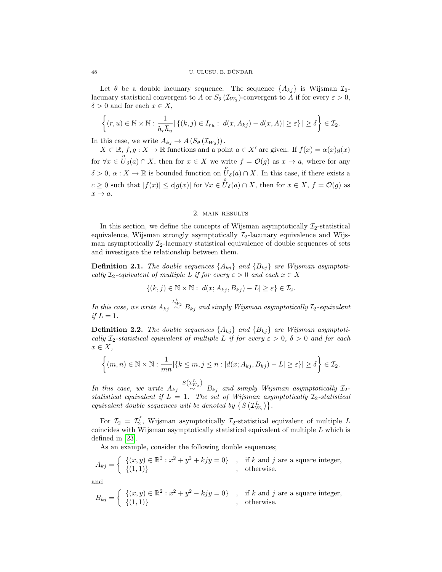Let  $\theta$  be a double lacunary sequence. The sequence  $\{A_{ki}\}\$ is Wijsman  $\mathcal{I}_{2}$ lacunary statistical convergent to A or  $S_{\theta}(\mathcal{I}_{W_2})$ -convergent to A if for every  $\varepsilon > 0$ ,  $\delta > 0$  and for each  $x \in X$ ,

$$
\left\{(r, u) \in \mathbb{N} \times \mathbb{N} : \frac{1}{h_r \overline{h}_u} | \left\{(k, j) \in I_{ru} : |d(x, A_{kj}) - d(x, A)| \geq \varepsilon \right\}| \geq \delta \right\} \in \mathcal{I}_2.
$$

In this case, we write  $A_{kj} \to A(S_{\theta}(\mathcal{I}_{W_2}))$ .

 $X \subset \mathbb{R}$ ,  $f, g: X \to \mathbb{R}$  functions and a point  $a \in X'$  are given. If  $f(x) = \alpha(x)g(x)$ for  $\forall x \in U_{\delta}(a) \cap X$ , then for  $x \in X$  we write  $f = \mathcal{O}(g)$  as  $x \to a$ , where for any  $\delta > 0, \, \alpha : X \to \mathbb{R}$  is bounded function on  $\overset{o}{U}_{\delta}(a) \cap X$ . In this case, if there exists a  $c \geq 0$  such that  $|f(x)| \leq c|g(x)|$  for  $\forall x \in \overset{o}{U}_{\delta}(a) \cap X$ , then for  $x \in X$ ,  $f = \mathcal{O}(g)$  as  $x \rightarrow a$ .

### 2. main results

In this section, we define the concepts of Wijsman asymptotically  $\mathcal{I}_2$ -statistical equivalence, Wijsman strongly asymptotically  $\mathcal{I}_2$ -lacunary equivalence and Wijsman asymptotically  $\mathcal{I}_2$ -lacunary statistical equivalence of double sequences of sets and investigate the relationship between them.

**Definition 2.1.** The double sequences  $\{A_{kj}\}\$  and  $\{B_{kj}\}\$  are Wijsman asymptotically  $\mathcal{I}_2$ -equivalent of multiple L if for every  $\varepsilon > 0$  and each  $x \in X$ 

$$
\{(k,j)\in\mathbb{N}\times\mathbb{N}:|d(x;A_{kj},B_{kj})-L|\geq\varepsilon\}\in\mathcal{I}_2.
$$

In this case, we write  $A_{kj} \stackrel{\mathcal{I}_{W_2}^L}{\sim} B_{kj}$  and simply Wijsman asymptotically  $\mathcal{I}_2$ -equivalent if  $L = 1$ .

**Definition 2.2.** The double sequences  $\{A_{kj}\}\$  and  $\{B_{kj}\}\$  are Wijsman asymptotically  $\mathcal{I}_2$ -statistical equivalent of multiple L if for every  $\varepsilon > 0$ ,  $\delta > 0$  and for each  $x \in X$ ,

$$
\left\{(m,n)\in\mathbb{N}\times\mathbb{N}:\frac{1}{mn}|\{k\leq m,j\leq n:|d(x;A_{kj},B_{kj})-L|\geq\varepsilon\}|\geq\delta\right\}\in\mathcal{I}_2.
$$

In this case, we write  $A_{kj} \stackrel{S(\mathcal{I}_{W_2}^L)}{\sim} B_{kj}$  and simply Wijsman asymptotically  $\mathcal{I}_2$ statistical equivalent if  $L = 1$ . The set of Wijsman asymptotically  $\mathcal{I}_2$ -statistical equivalent double sequences will be denoted by  $\{S\left(\mathcal{I}_{W_2}^L\right)\}.$ 

For  $\mathcal{I}_2 = \mathcal{I}_2^f$ , Wijsman asymptotically  $\mathcal{I}_2$ -statistical equivalent of multiple L coincides with Wijsman asymptotically statistical equivalent of multiple  $L$  which is defined in [\[23\]](#page-11-25).

As an example, consider the following double sequences;

$$
A_{kj} = \begin{cases} \{(x,y) \in \mathbb{R}^2 : x^2 + y^2 + k j y = 0\} & , & \text{if } k \text{ and } j \text{ are a square integer,} \\ \{(1,1)\} & , & \text{otherwise.} \end{cases}
$$

and

$$
B_{kj} = \begin{cases} \{(x,y) \in \mathbb{R}^2 : x^2 + y^2 - kjy = 0\} & , & \text{if } k \text{ and } j \text{ are a square integer,} \\ \{(1,1)\} & , & \text{otherwise.} \end{cases}
$$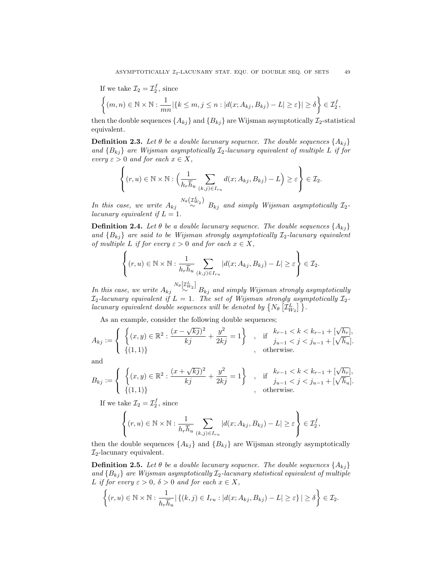If we take  $\mathcal{I}_2 = \mathcal{I}_2^f$ , since  $\Big\{(m,n)\in\mathbb{N}\times\mathbb{N}:\frac{1}{m}\Big\}$  $\frac{1}{mn} |\{k \leq m, j \leq n : |d(x; A_{kj}, B_{kj}) - L| \geq \varepsilon\}| \geq \delta \bigg\} \in \mathcal{I}_2^f,$ 

then the double sequences  $\{A_{kj}\}\$  and  $\{B_{kj}\}\$  are Wijsman asymptotically  $\mathcal{I}_2$ -statistical equivalent.

**Definition 2.3.** Let  $\theta$  be a double lacunary sequence. The double sequences  $\{A_{ki}\}$ and  ${B_{kj}}$  are Wijsman asymptotically  $I_2$ -lacunary equivalent of multiple L if for every  $\varepsilon > 0$  and for each  $x \in X$ ,

$$
\left\{(r, u) \in \mathbb{N} \times \mathbb{N} : \left(\frac{1}{h_r \overline{h}_u} \sum_{(k,j) \in I_{ru}} d(x; A_{kj}, B_{kj}) - L\right) \geq \varepsilon\right\} \in \mathcal{I}_2.
$$

In this case, we write  $A_{kj} \stackrel{N_{\theta}( \mathcal{I}_{W_2}^L) }{\sim} B_{kj}$  and simply Wijsman asymptotically  $\mathcal{I}_2$ lacunary equivalent if  $L = 1$ .

**Definition 2.4.** Let  $\theta$  be a double lacunary sequence. The double sequences  $\{A_{kj}\}$ and  ${B_{kj}}$  are said to be Wijsman strongly asymptotically  $\mathcal{I}_2$ -lacunary equivalent of multiple L if for every  $\varepsilon > 0$  and for each  $x \in X$ ,

$$
\left\{(r, u) \in \mathbb{N} \times \mathbb{N} : \frac{1}{h_r \overline{h}_u} \sum_{(k,j) \in I_{ru}} |d(x; A_{kj}, B_{kj}) - L| \geq \varepsilon \right\} \in \mathcal{I}_2.
$$

In this case, we write  $A_{kj} \stackrel{N_{\theta}[{\cal I}_{W_2}^L]}{\sim} B_{kj}$  and simply Wijsman strongly asymptotically  $\mathcal{I}_2$ -lacunary equivalent if  $L=1.$  The set of Wijsman strongly asymptotically  $\mathcal{I}_2$ lacunary equivalent double sequences will be denoted by  $\{N_{\theta} | \mathcal{I}_{W_2}^L\}$ .

As an example, consider the following double sequences;

$$
A_{kj} := \begin{cases} \left\{ (x,y) \in \mathbb{R}^2 : \frac{(x - \sqrt{kj})^2}{kj} + \frac{y^2}{2kj} = 1 \right\} & , \text{ if } \begin{aligned} k_{r-1} < k < k_{r-1} + [\sqrt{h_r}], \\ j_{u-1} < j < j_{u-1} + [\sqrt{\overline{h}_u}]. \end{aligned} \\ \text{, otherwise.} \end{cases}
$$

and

$$
B_{kj} := \begin{cases} \left\{ (x,y) \in \mathbb{R}^2 : \frac{(x+\sqrt{kj})^2}{kj} + \frac{y^2}{2kj} = 1 \right\} , & \text{if } \frac{k_{r-1} < k < k_{r-1} + [\sqrt{h_r}],\\ \left\{ (1,1) \right\} , & \text{otherwise.} \end{cases}
$$

If we take  $\mathcal{I}_2 = \mathcal{I}_2^f$ , since

$$
\left\{(r, u) \in \mathbb{N} \times \mathbb{N} : \frac{1}{h_r \overline{h}_u} \sum_{(k,j) \in I_{ru}} |d(x; A_{kj}, B_{kj}) - L| \ge \varepsilon \right\} \in \mathcal{I}_2^f,
$$

then the double sequences  $\{A_{kj}\}\$  and  $\{B_{kj}\}\$ are Wijsman strongly asymptotically  $\mathcal{I}_2$ -lacunary equivalent.

**Definition 2.5.** Let  $\theta$  be a double lacunary sequence. The double sequences  $\{A_{ki}\}$ and  ${B_{kj}}$  are Wijsman asymptotically  $\mathcal{I}_2$ -lacunary statistical equivalent of multiple L if for every  $\varepsilon > 0$ ,  $\delta > 0$  and for each  $x \in X$ ,

$$
\left\{(r, u) \in \mathbb{N} \times \mathbb{N} : \frac{1}{h_r \overline{h}_u} | \{(k, j) \in I_{ru} : |d(x; A_{kj}, B_{kj}) - L| \geq \varepsilon\}| \geq \delta \right\} \in \mathcal{I}_2.
$$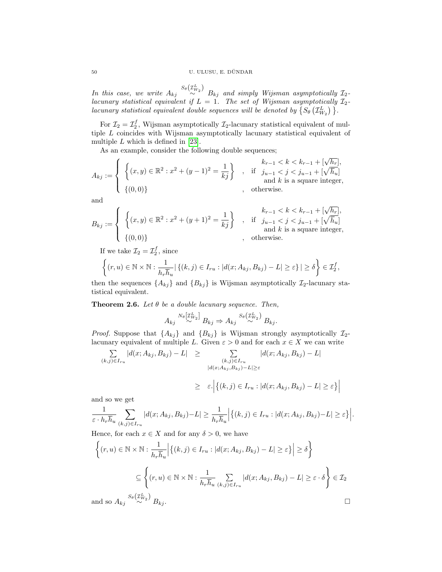In this case, we write  $A_{kj} \stackrel{S_{\theta}( \mathcal{I}_{W_2}^L) }{\sim} B_{kj}$  and simply Wijsman asymptotically  $\mathcal{I}_2$ lacunary statistical equivalent if  $L = 1$ . The set of Wijsman asymptotically  $\mathcal{I}_2$ lacunary statistical equivalent double sequences will be denoted by  $\{S_{\theta}(\mathcal{I}_{W_2}^L)\}\$ .

For  $\mathcal{I}_2 = \mathcal{I}_2^f$ , Wijsman asymptotically  $\mathcal{I}_2$ -lacunary statistical equivalent of multiple L coincides with Wijsman asymptotically lacunary statistical equivalent of multiple  $L$  which is defined in [\[23\]](#page-11-25).

As an example, consider the following double sequences;

$$
A_{kj} := \begin{cases} \left\{ (x,y) \in \mathbb{R}^2 : x^2 + (y-1)^2 = \frac{1}{kj} \right\} & \text{if } j_{u-1} < k < k_{r-1} + [\sqrt{h_r}], \\ \left\{ (x,y) \in \mathbb{R}^2 : x^2 + (y-1)^2 = \frac{1}{kj} \right\} & \text{if } j_{u-1} < j < j_{u-1} + [\sqrt{h_u}] \\ \text{and } k \text{ is a square integer,} & \text{otherwise.} \end{cases}
$$

and

$$
B_{kj} := \left\{ \begin{array}{l} \left\{ (x,y) \in \mathbb{R}^2 : x^2 + (y+1)^2 = \frac{1}{kj} \right\} & \text{if} \quad \begin{array}{l} k_{r-1} < k < k_{r-1} + \lfloor \sqrt{h_r} \rfloor, \\ j_{u-1} < j < j_{u-1} + \lfloor \sqrt{h_u} \rfloor \\ \text{and } k \text{ is a square integer,} \end{array} \right. \\ \left. \begin{array}{l} \text{if} \quad j_{u-1} < j < j_{u-1} + \lfloor \sqrt{h_u} \rfloor \\ \text{and } k \text{ is a square integer,} \end{array} \right. \end{array} \right.
$$

If we take  $\mathcal{I}_2 = \mathcal{I}_2^f$ , since

$$
\left\{(r, u) \in \mathbb{N} \times \mathbb{N} : \frac{1}{h_r \overline{h}_u} | \{(k, j) \in I_{ru} : |d(x; A_{kj}, B_{kj}) - L| \geq \varepsilon\}| \geq \delta \right\} \in \mathcal{I}_2^f,
$$

then the sequences  $\{A_{kj}\}\$ and  $\{B_{kj}\}\$ is Wijsman asymptotically  $\mathcal{I}_2$ -lacunary statistical equivalent.

<span id="page-6-0"></span>**Theorem 2.6.** Let  $\theta$  be a double lacunary sequence. Then,

$$
A_{kj} \stackrel{N_{\theta}[\mathcal{I}_{W_2}^L]}{\sim} B_{kj} \Rightarrow A_{kj} \stackrel{S_{\theta}(\mathcal{I}_{W_2}^L)}{\sim} B_{kj}.
$$

*Proof.* Suppose that  $\{A_{kj}\}\$  and  $\{B_{kj}\}\$ is Wijsman strongly asymptotically  $\mathcal{I}_2$ lacunary equivalent of multiple L. Given  $\varepsilon > 0$  and for each  $x \in X$  we can write

$$
\sum_{(k,j)\in I_{ru}} |d(x;A_{kj},B_{kj}) - L| \ge \sum_{\substack{(k,j)\in I_{ru} \\ |d(x;A_{kj},B_{kj}) - L| \ge \varepsilon}} |d(x;A_{kj},B_{kj}) - L|
$$

$$
\geq \varepsilon \cdot \Big| \big\{ (k,j) \in I_{ru} : |d(x; A_{kj}, B_{kj}) - L| \geq \varepsilon \big\} \Big|
$$

and so we get

$$
\frac{1}{\varepsilon \cdot h_r \overline{h}_u} \sum_{(k,j) \in I_{ru}} |d(x; A_{kj}, B_{kj}) - L| \geq \frac{1}{h_r \overline{h}_u} \Big| \{ (k,j) \in I_{ru} : |d(x; A_{kj}, B_{kj}) - L| \geq \varepsilon \} \Big|.
$$

Hence, for each  $x \in X$  and for any  $\delta > 0$ , we have

$$
\left\{ (r, u) \in \mathbb{N} \times \mathbb{N} : \frac{1}{h_r \overline{h}_u} \Big| \left\{ (k, j) \in I_{ru} : |d(x; A_{kj}, B_{kj}) - L| \ge \varepsilon \right\} \Big| \ge \delta \right\}
$$
  

$$
\subseteq \left\{ (r, u) \in \mathbb{N} \times \mathbb{N} : \frac{1}{h_r \overline{h}_u} \sum_{(k, j) \in I_{ru}} |d(x; A_{kj}, B_{kj}) - L| \ge \varepsilon \cdot \delta \right\} \in \mathcal{I}_2
$$
  
and so  $A_{kj} \stackrel{S_{\theta}(\mathcal{I}_{w_2}^L)}{\sim} B_{kj}$ .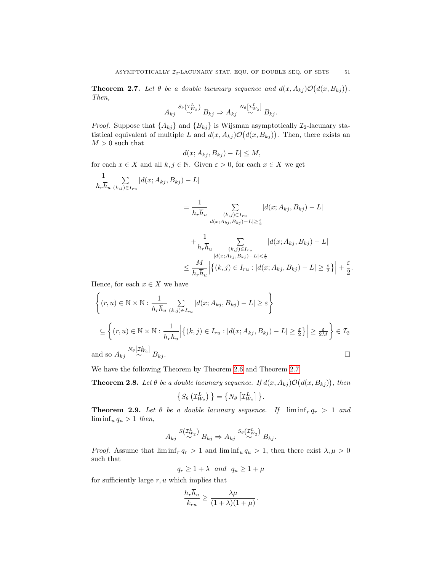<span id="page-7-0"></span>**Theorem 2.7.** Let  $\theta$  be a double lacunary sequence and  $d(x, A_{kj}) \mathcal{O}(d(x, B_{kj}))$ . Then,

$$
A_{kj} \stackrel{S_{\theta}( \mathcal{I}_{W_2}^L)}{\sim} B_{kj} \Rightarrow A_{kj} \stackrel{N_{\theta}[ \mathcal{I}_{W_2}^L]}{\sim} B_{kj}.
$$

*Proof.* Suppose that  $\{A_{kj}\}\$  and  $\{B_{kj}\}\$ is Wijsman asymptotically  $\mathcal{I}_2$ -lacunary statistical equivalent of multiple L and  $d(x, A_{kj}) \mathcal{O}(d(x, B_{kj}))$ . Then, there exists an  $M>0$  such that

$$
|d(x; A_{kj}, B_{kj}) - L| \le M,
$$

for each  $x \in X$  and all  $k, j \in \mathbb{N}$ . Given  $\varepsilon > 0$ , for each  $x \in X$  we get

$$
\frac{1}{h_r \overline{h}_u} \sum_{(k,j) \in I_{ru}} |d(x; A_{kj}, B_{kj}) - L|
$$

$$
= \frac{1}{h_r \overline{h}_u} \sum_{\substack{(k,j) \in I_{ru} \\ |d(x; A_{kj}, B_{kj}) - L| \ge \frac{\varepsilon}{2}}} |d(x; A_{kj}, B_{kj}) - L| + \frac{1}{h_r \overline{h}_u} \sum_{\substack{(k,j) \in I_{ru} \\ |d(x; A_{kj}, B_{kj}) - L| < \frac{\varepsilon}{2}}} |d(x; A_{kj}, B_{kj}) - L| < \frac{M}{h_r \overline{h}_u} \left| \left\{ (k,j) \in I_{ru} : |d(x; A_{kj}, B_{kj}) - L| \ge \frac{\varepsilon}{2} \right\} \right| +
$$

ε  $\frac{1}{2}$ .

Hence, for each  $x \in X$  we have

$$
\left\{ (r, u) \in \mathbb{N} \times \mathbb{N} : \frac{1}{h_r \overline{h}_u} \sum_{(k,j) \in I_{ru}} |d(x; A_{kj}, B_{kj}) - L| \ge \varepsilon \right\}
$$
\n
$$
\subseteq \left\{ (r, u) \in \mathbb{N} \times \mathbb{N} : \frac{1}{h_r \overline{h}_u} \Big| \left\{ (k,j) \in I_{ru} : |d(x; A_{kj}, B_{kj}) - L| \ge \frac{\varepsilon}{2} \right\} \Big| \ge \frac{\varepsilon}{2M} \right\} \in \mathcal{I}_2
$$
\nand so  $A_{kj} \xrightarrow{N_{\theta}[\mathcal{I}_{w_2}^L]} B_{kj}$ .

We have the following Theorem by Theorem [2.6](#page-6-0) and Theorem [2.7.](#page-7-0)

**Theorem 2.8.** Let  $\theta$  be a double lacunary sequence. If  $d(x, A_{kj}) \mathcal{O}(d(x, B_{kj}))$ , then

$$
\left\{S_{\theta}\left(\mathcal{I}_{W_2}^L\right)\right\} = \left\{N_{\theta}\left[\mathcal{I}_{W_2}^L\right]\right\}.
$$

<span id="page-7-1"></span>**Theorem 2.9.** Let  $\theta$  be a double lacunary sequence. If  $\liminf_{r \to \infty} q_r > 1$  and  $\liminf_{u} q_u > 1$  then,

$$
A_{kj} \stackrel{S(\mathcal{I}_{W_2}^L)}{\sim} B_{kj} \Rightarrow A_{kj} \stackrel{S_{\theta}(\mathcal{I}_{W_2}^L)}{\sim} B_{kj}.
$$

*Proof.* Assume that  $\liminf_{r} q_r > 1$  and  $\liminf_{u} q_u > 1$ , then there exist  $\lambda, \mu > 0$ such that

 $q_r \geq 1 + \lambda$  and  $q_u \geq 1 + \mu$ 

for sufficiently large  $r, u$  which implies that

$$
\frac{h_r \overline{h}_u}{k_{ru}} \ge \frac{\lambda \mu}{(1+\lambda)(1+\mu)}.
$$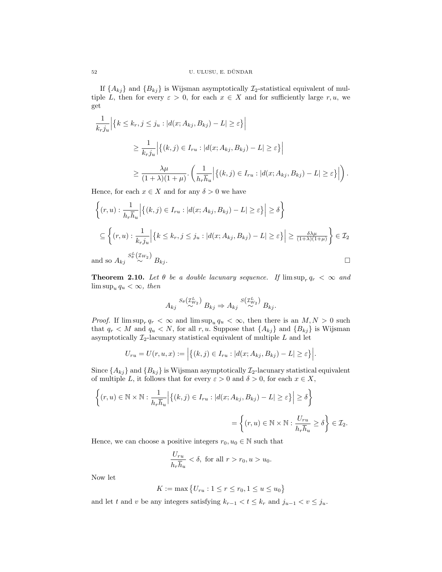If  $\{A_{kj}\}\$  and  $\{B_{kj}\}\$ is Wijsman asymptotically  $\mathcal{I}_2$ -statistical equivalent of multiple L, then for every  $\varepsilon > 0$ , for each  $x \in X$  and for sufficiently large r, u, we get

$$
\frac{1}{k_r j_u} \Big| \{ k \le k_r, j \le j_u : |d(x; A_{kj}, B_{kj}) - L| \ge \varepsilon \} \Big|
$$
  

$$
\ge \frac{1}{k_r j_u} \Big| \{ (k, j) \in I_{ru} : |d(x; A_{kj}, B_{kj}) - L| \ge \varepsilon \} \Big|
$$
  

$$
\ge \frac{\lambda \mu}{(1 + \lambda)(1 + \mu)} \cdot \left( \frac{1}{h_r \overline{h}_u} \Big| \{ (k, j) \in I_{ru} : |d(x; A_{kj}, B_{kj}) - L| \ge \varepsilon \} \Big| \right).
$$

Hence, for each  $x \in X$  and for any  $\delta > 0$  we have

$$
\left\{ (r, u) : \frac{1}{h_r \overline{h}_u} \Big| \left\{ (k, j) \in I_{ru} : |d(x; A_{kj}, B_{kj}) - L| \ge \varepsilon \right\} \Big| \ge \delta \right\}
$$
\n
$$
\subseteq \left\{ (r, u) : \frac{1}{k_r j_u} \Big| \left\{ k \le k_r, j \le j_u : |d(x; A_{kj}, B_{kj}) - L| \ge \varepsilon \right\} \Big| \ge \frac{\delta \lambda \mu}{(1 + \lambda)(1 + \mu)} \right\} \in \mathcal{I}_2
$$
\nand so  $A_{kj} \stackrel{S_{\theta}^L(\mathcal{I}_{W_2})}{\sim} B_{kj}$ .

<span id="page-8-0"></span>**Theorem 2.10.** Let  $\theta$  be a double lacunary sequence. If  $\limsup_{r} q_r < \infty$  and  $\limsup_{u} q_u < \infty$ , then

$$
A_{kj} \stackrel{S_{\theta}(\mathcal{I}_{W_2}^L)}{\sim} B_{kj} \Rightarrow A_{kj} \stackrel{S(\mathcal{I}_{W_2}^L)}{\sim} B_{kj}.
$$

*Proof.* If  $\limsup_{r \to \infty} q_r < \infty$  and  $\limsup_{u \to \infty} q_u < \infty$ , then there is an  $M, N > 0$  such that  $q_r < M$  and  $q_u < N$ , for all r, u. Suppose that  $\{A_{kj}\}\$ and  $\{B_{kj}\}\$ is Wijsman asymptotically  $\mathcal{I}_2$ -lacunary statistical equivalent of multiple  $L$  and let

$$
U_{ru} = U(r, u, x) := \Big| \big\{ (k, j) \in I_{ru} : |d(x; A_{kj}, B_{kj}) - L| \ge \varepsilon \big\} \Big|.
$$

Since  $\{A_{kj}\}\$ and  $\{B_{kj}\}\$ is Wijsman asymptotically  $\mathcal{I}_2$ -lacunary statistical equivalent of multiple L, it follows that for every  $\varepsilon > 0$  and  $\delta > 0$ , for each  $x \in X$ ,

$$
\left\{ (r, u) \in \mathbb{N} \times \mathbb{N} : \frac{1}{h_r \overline{h}_u} \Big| \left\{ (k, j) \in I_{ru} : |d(x; A_{kj}, B_{kj}) - L| \ge \varepsilon \right\} \Big| \ge \delta \right\}
$$
  

$$
= \left\{ (r, u) \in \mathbb{N} \times \mathbb{N} : \frac{U_{ru}}{h_r \overline{h}_u} \ge \delta \right\} \in \mathcal{I}_2.
$$

Hence, we can choose a positive integers  $r_0, u_0 \in \mathbb{N}$  such that

$$
\frac{U_{ru}}{h_r \overline{h}_u} < \delta, \text{ for all } r > r_0, u > u_0.
$$

Now let

$$
K := \max \{ U_{ru} : 1 \le r \le r_0, 1 \le u \le u_0 \}
$$

and let t and v be any integers satisfying  $k_{r-1} < t \leq k_r$  and  $j_{u-1} < v \leq j_u$ .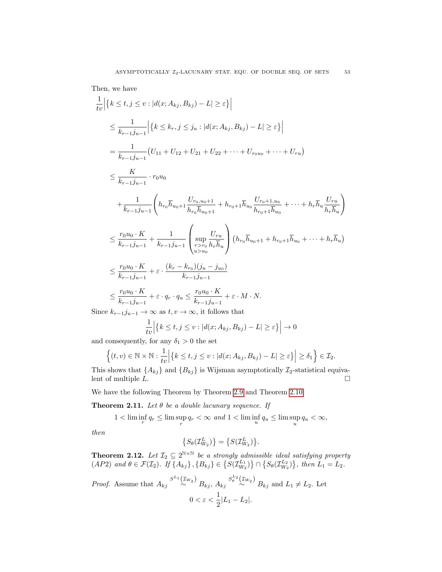Then, we have

$$
\frac{1}{tv} \Big| \{ k \le t, j \le v : |d(x; A_{kj}, B_{kj}) - L| \ge \varepsilon \} \Big|
$$
\n
$$
\le \frac{1}{k_{r-1}j_{u-1}} \Big| \{ k \le k_r, j \le j_u : |d(x; A_{kj}, B_{kj}) - L| \ge \varepsilon \} \Big|
$$
\n
$$
= \frac{1}{k_{r-1}j_{u-1}} \Big( U_{11} + U_{12} + U_{21} + U_{22} + \dots + U_{r0u_0} + \dots + U_{ru} \Big)
$$
\n
$$
\le \frac{K}{k_{r-1}j_{u-1}} \cdot r_0u_0
$$
\n
$$
+ \frac{1}{k_{r-1}j_{u-1}} \Bigg( h_{r_0}\overline{h}_{u_0+1} \frac{U_{r_0,u_0+1}}{h_{r_0}\overline{h}_{u_0+1}} + h_{r_0+1}\overline{h}_{u_0} \frac{U_{r_0+1,u_0}}{h_{r_0+1}\overline{h}_{u_0}} + \dots + h_r\overline{h}_u \frac{U_{ru}}{h_r\overline{h}_u} \Bigg)
$$
\n
$$
\le \frac{r_0u_0 \cdot K}{k_{r-1}j_{u-1}} + \frac{1}{k_{r-1}j_{u-1}} \Bigg( \sup_{u > u_0} \frac{U_{ru}}{h_{ru}} \Bigg) \Big( h_{r_0}\overline{h}_{u_0+1} + h_{r_0+1}\overline{h}_{u_0} + \dots + h_r\overline{h}_u \Bigg)
$$
\n
$$
\le \frac{r_0u_0 \cdot K}{k_{r-1}j_{u-1}} + \varepsilon \cdot \frac{(k_r - k_{r_0})(j_u - j_{u_0})}{k_{r-1}j_{u-1}}
$$
\n
$$
\le \frac{r_0u_0 \cdot K}{k_{r-1}j_{u-1}} + \varepsilon \cdot q_r \cdot q_u \le \frac{r_0u_0 \cdot K}{k_{r-1}j_{u-1}} + \varepsilon \cdot M \cdot N.
$$

Since  $k_{r-1}j_{u-1} \to \infty$  as  $t, v \to \infty$ , it follows that

$$
\frac{1}{tv} | \{ k \le t, j \le v : |d(x; A_{kj}, B_{kj}) - L| \ge \varepsilon \} | \to 0
$$

and consequently, for any  $\delta_1>0$  the set

$$
\left\{(t,v)\in\mathbb{N}\times\mathbb{N}:\frac{1}{tv}\Big|\big\{k\leq t,j\leq v:|d(x;A_{kj},B_{kj})-L|\geq\varepsilon\big\}\Big|\geq\delta_1\right\}\in\mathcal{I}_2.
$$

This shows that  $\{A_{kj}\}$  and  $\{B_{kj}\}$  is Wijsman asymptotically  $\mathcal{I}_2$ -statistical equivalent of multiple L.  $\Box$ 

We have the following Theorem by Theorem [2.9](#page-7-1) and Theorem [2.10.](#page-8-0)

**Theorem 2.11.** Let  $\theta$  be a double lacunary sequence. If

 $1 < \liminf_{r} q_r \leq \limsup_{r} q_r < \infty$  and  $1 < \liminf_{u} q_u \leq \limsup_{u} q_u < \infty$ ,

then

$$
\left\{S_{\theta}(\mathcal{I}_{W_2}^L)\right\} = \left\{S(\mathcal{I}_{W_2}^L)\right\}.
$$

**Theorem 2.12.** Let  $\mathcal{I}_2 \subseteq 2^{N \times N}$  be a strongly admissible ideal satisfying property  $(AP2)$  and  $\theta \in \mathcal{F}(\mathcal{I}_2)$ . If  $\{A_{kj}\}, \{B_{kj}\}\in \{S(\mathcal{I}_{W_2}^{L_1})\} \cap \{S_{\theta}(\mathcal{I}_{W_2}^{L_2})\},\$  then  $L_1 = L_2$ .

*Proof.* Assume that 
$$
A_{kj} \stackrel{S^{L_1}(x_{W_2})}{\sim} B_{kj}
$$
,  $A_{kj} \stackrel{S^{L_2}(x_{W_2})}{\sim} B_{kj}$  and  $L_1 \neq L_2$ . Let  $0 < \varepsilon < \frac{1}{2}|L_1 - L_2|$ .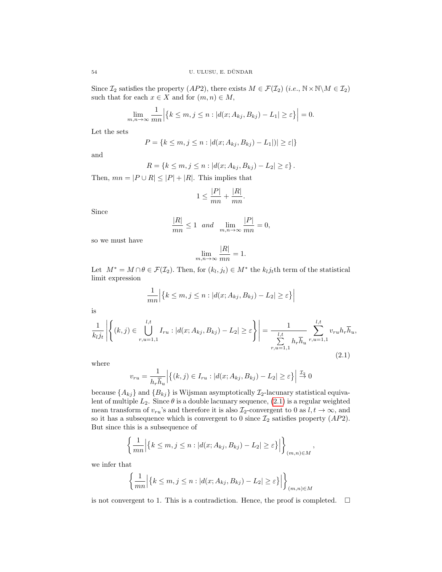Since  $\mathcal{I}_2$  satisfies the property  $(AP2)$ , there exists  $M \in \mathcal{F}(\mathcal{I}_2)$   $(i.e., \mathbb{N} \times \mathbb{N} \setminus M \in \mathcal{I}_2)$ such that for each  $x \in X$  and for  $(m, n) \in M$ ,

$$
\lim_{n \to \infty} \frac{1}{mn} \Big| \{ k \le m, j \le n : |d(x; A_{kj}, B_{kj}) - L_1| \ge \varepsilon \} \Big| = 0.
$$

Let the sets

 $m,$ 

$$
P = \{k \le m, j \le n : |d(x; A_{kj}, B_{kj}) - L_1| \le \varepsilon\}
$$

and

$$
R = \{k \leq m, j \leq n : |d(x; A_{kj}, B_{kj}) - L_2| \geq \varepsilon\}.
$$

Then,  $mn = |P \cup R| \leq |P| + |R|$ . This implies that

$$
1 \le \frac{|P|}{mn} + \frac{|R|}{mn}.
$$

Since

$$
\frac{|R|}{mn} \le 1 \quad and \quad \lim_{m,n \to \infty} \frac{|P|}{mn} = 0,
$$

so we must have

$$
\lim_{m,n\to\infty}\frac{|R|}{mn}=1.
$$

Let  $M^* = M \cap \theta \in \mathcal{F}(\mathcal{I}_2)$ . Then, for  $(k_l, j_t) \in M^*$  the  $k_l j_t$ th term of the statistical limit expression

$$
\frac{1}{mn} \Big| \{ k \le m, j \le n : |d(x; A_{kj}, B_{kj}) - L_2| \ge \varepsilon \} \Big|
$$

is

<span id="page-10-0"></span>
$$
\frac{1}{k_l j_t} \left| \left\{ (k,j) \in \bigcup_{r,u=1,1}^{l,t} I_{ru} : |d(x; A_{kj}, B_{kj}) - L_2| \ge \varepsilon \right\} \right| = \frac{1}{\sum_{r,u=1,1}^{l,t} h_r \overline{h}_u} \sum_{r,u=1,1}^{l,t} v_{ru} h_r \overline{h}_u,
$$
\n(2.1)

where

$$
v_{ru} = \frac{1}{h_r \overline{h}_u} \Big| \{ (k,j) \in I_{ru} : |d(x; A_{kj}, B_{kj}) - L_2| \ge \varepsilon \} \Big| \stackrel{\mathcal{I}_2}{\to} 0
$$

because  $\{A_{kj}\}\$ and  $\{B_{kj}\}\$ is Wijsman asymptotically  $\mathcal{I}_2$ -lacunary statistical equivalent of multiple  $L_2$ . Since  $\theta$  is a double lacunary sequence, [\(2.1\)](#page-10-0) is a regular weighted mean transform of  $v_{ru}$ 's and therefore it is also  $\mathcal{I}_2$ -convergent to 0 as  $l, t \to \infty$ , and so it has a subsequence which is convergent to 0 since  $\mathcal{I}_2$  satisfies property  $(AP2)$ . But since this is a subsequence of

$$
\left\{\frac{1}{mn}\Big|\big\{k\leq m, j\leq n : |d(x;A_{kj},B_{kj})-L_2|\geq \varepsilon\big\}\Big|\right\}_{(m,n)\in M},
$$

we infer that

$$
\left\{\frac{1}{mn} \Big| \{k \le m, j \le n : |d(x; A_{kj}, B_{kj}) - L_2| \ge \varepsilon\} \Big| \right\}_{(m,n)\in M}
$$

is not convergent to 1. This is a contradiction. Hence, the proof is completed.  $\Box$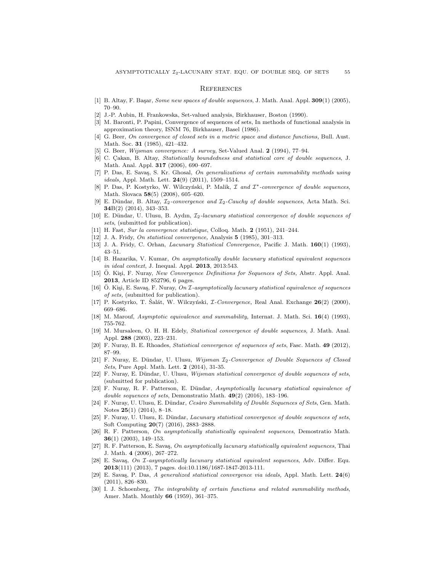#### **REFERENCES**

- <span id="page-11-20"></span>[1] B. Altay, F. Basar, Some new spaces of double sequences, J. Math. Anal. Appl.  $309(1)$  (2005), 70–90.
- [2] J.-P. Aubin, H. Frankowska, Set-valued analysis, Birkhauser, Boston (1990).
- <span id="page-11-8"></span>[3] M. Baronti, P. Papini, Convergence of sequences of sets, In methods of functional analysis in approximation theory, ISNM 76, Birkhauser, Basel (1986).
- [4] G. Beer, On convergence of closed sets in a metric space and distance functions, Bull. Aust. Math. Soc. 31 (1985), 421–432.
- <span id="page-11-9"></span>[5] G. Beer, Wijsman convergence: A survey, Set-Valued Anal. 2 (1994), 77–94.
- <span id="page-11-3"></span>[6] C. Çakan, B. Altay, Statistically boundedness and statistical core of double sequences, J. Math. Anal. Appl. 317 (2006), 690–697.
- <span id="page-11-6"></span>[7] P. Das, E. Savas, S. Kr. Ghosal, On generalizations of certain summability methods using  $ideals$ , Appl. Math. Lett.  $24(9)$   $(2011)$ , 1509-1514.
- <span id="page-11-7"></span>[8] P. Das, P. Kostyrko, W. Wilczyński, P. Malik,  $I$  and  $I^*$ -convergence of double sequences, Math. Slovaca 58(5) (2008), 605–620.
- [9] E. Dündar, B. Altay,  $\mathcal{I}_2$ -convergence and  $\mathcal{I}_2$ -Cauchy of double sequences, Acta Math. Sci. 34B(2) (2014), 343–353.
- <span id="page-11-14"></span>[10] E. Dündar, U. Ulusu, B. Aydın,  $\mathcal{I}_2$ -lacunary statistical convergence of double sequences of sets, (submitted for publication).
- <span id="page-11-0"></span>[11] H. Fast, Sur la convergence statistique, Colloq. Math. 2 (1951), 241–244.
- <span id="page-11-21"></span>[12] J. A. Fridy, *On statistical convergence*, Analysis **5** (1985), 301–313.
- <span id="page-11-4"></span>[13] J. A. Fridy, C. Orhan, *Lacunary Statistical Convergence*, Pacific J. Math. **160**(1) (1993), 43–51.
- <span id="page-11-22"></span>[14] B. Hazarika, V. Kumar, On asymptotically double lacunary statistical equivalent sequences in ideal context, J. Inequal. Appl. 2013, 2013:543.
- <span id="page-11-11"></span>[15] Ö. Kişi, F. Nuray, New Convergence Definitions for Sequences of Sets, Abstr. Appl. Anal. 2013, Article ID 852796, 6 pages.
- <span id="page-11-19"></span>[16] O. Kişi, E. Savaş, F. Nuray,  $On \mathcal{I}$ -asymptotically lacunary statistical equivalence of sequences of sets, (submitted for publication).
- <span id="page-11-5"></span>[17] P. Kostyrko, T. Šalát, W. Wilczyński,  $\mathcal{I}\text{-}Convergence$ , Real Anal. Exchange  $26(2)$  (2000), 669–686.
- <span id="page-11-15"></span>[18] M. Marouf, Asymptotic equivalence and summability, Internat. J. Math. Sci. 16(4) (1993), 755-762.
- <span id="page-11-2"></span>[19] M. Mursaleen, O. H. H. Edely, Statistical convergence of double sequences, J. Math. Anal. Appl. 288 (2003), 223–231.
- <span id="page-11-10"></span>[20] F. Nuray, B. E. Rhoades, Statistical convergence of sequences of sets, Fasc. Math. 49 (2012), 87–99.
- <span id="page-11-13"></span>[21] F. Nuray, E. Dündar, U. Ulusu, Wijsman  $\mathcal{I}_2$ -Convergence of Double Sequences of Closed Sets, Pure Appl. Math. Lett. 2 (2014), 31-35.
- <span id="page-11-12"></span>[22] F. Nuray, E. Dündar, U. Ulusu, Wijsman statistical convergence of double sequences of sets, (submitted for publication).
- <span id="page-11-25"></span>[23] F. Nuray, R. F. Patterson, E. Dündar, Asymptotically lacunary statistical equivalence of double sequences of sets, Demonstratio Math. 49(2) (2016), 183-196.
- [24] F. Nuray, U. Ulusu, E. Dündar, Cesàro Summability of Double Sequences of Sets, Gen. Math. Notes 25(1) (2014), 8–18.
- <span id="page-11-23"></span>[25] F. Nuray, U. Ulusu, E. Dündar, Lacunary statistical convergence of double sequences of sets, Soft Computing 20(7) (2016), 2883–2888.
- <span id="page-11-16"></span>[26] R. F. Patterson, On asymptotically statistically equivalent sequences, Demostratio Math. 36(1) (2003), 149–153.
- <span id="page-11-17"></span>[27] R. F. Patterson, E. Savas, On asymptotically lacunary statistically equivalent sequences, Thai J. Math. 4 (2006), 267–272.
- <span id="page-11-18"></span>[28] E. Savaş, On *I*-asymptotically lacunary statistical equivalent sequences, Adv. Differ. Equ. 2013(111) (2013), 7 pages. doi:10.1186/1687-1847-2013-111.
- <span id="page-11-24"></span>[29] E. Savaş, P. Das, A generalized statistical convergence via ideals, Appl. Math. Lett. 24(6) (2011), 826–830.
- <span id="page-11-1"></span>[30] I. J. Schoenberg, The integrability of certain functions and related summability methods, Amer. Math. Monthly 66 (1959), 361–375.